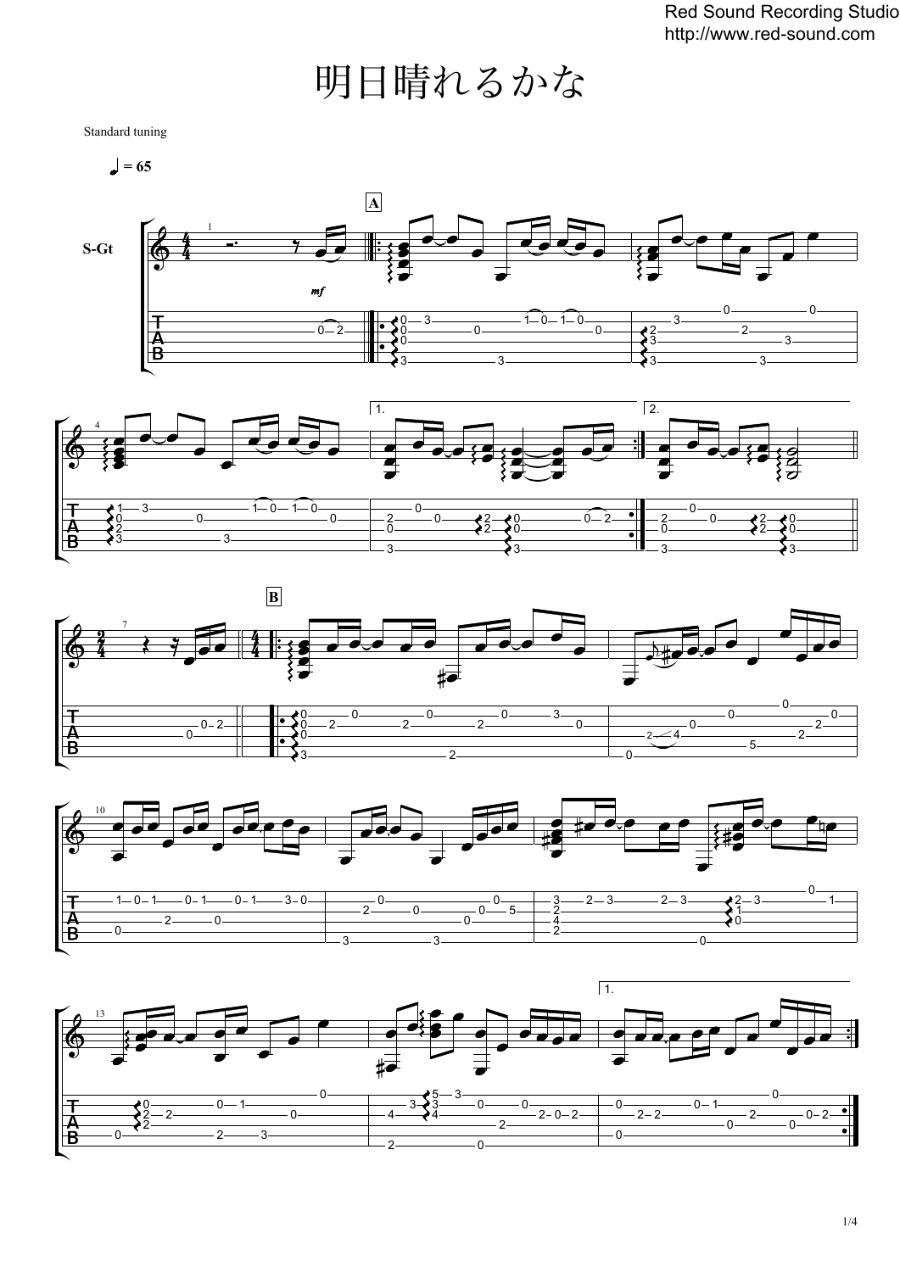明日晴れるかな

Standard tuning

 $= 65$ 









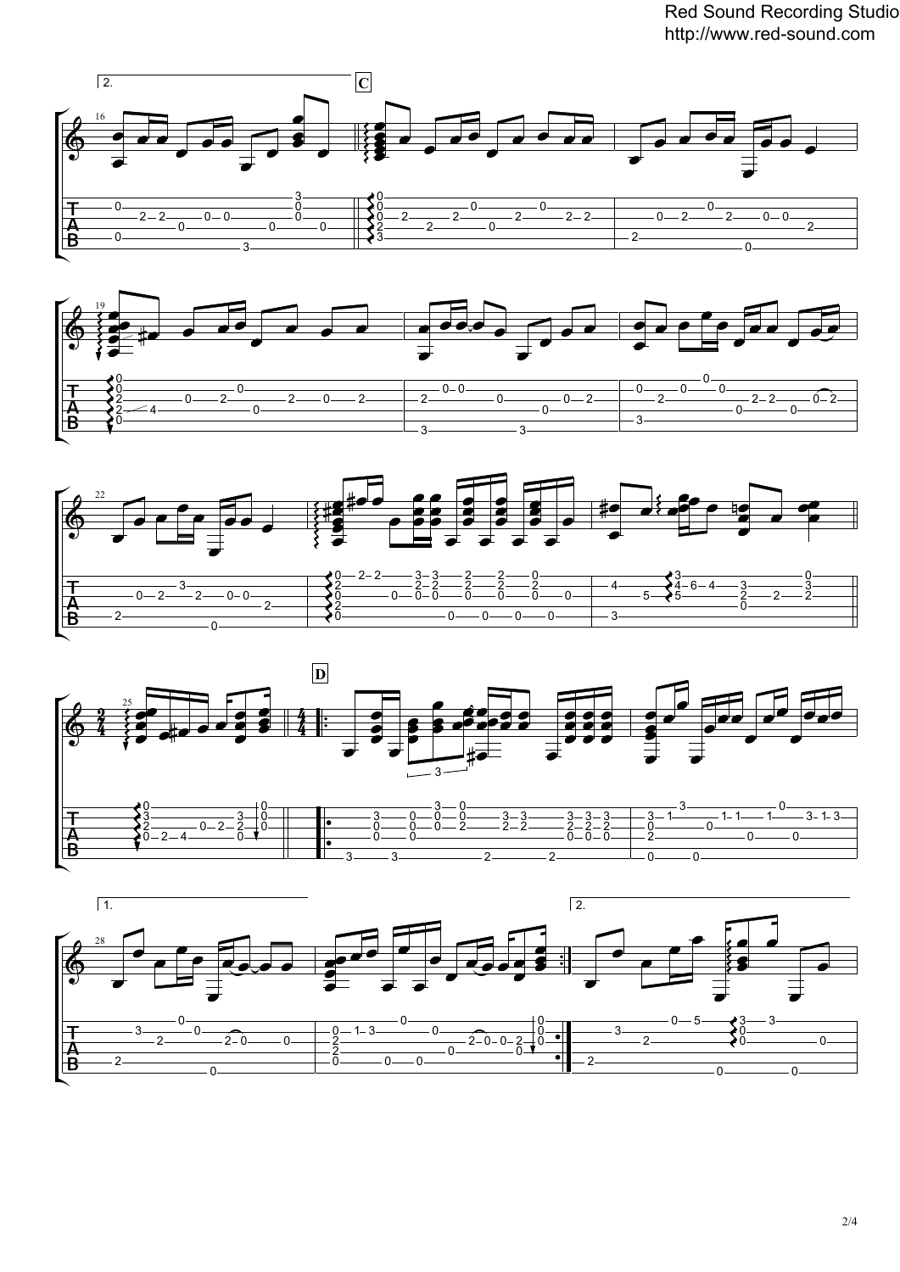Red Sound Recording Studio http://www.red-sound.com









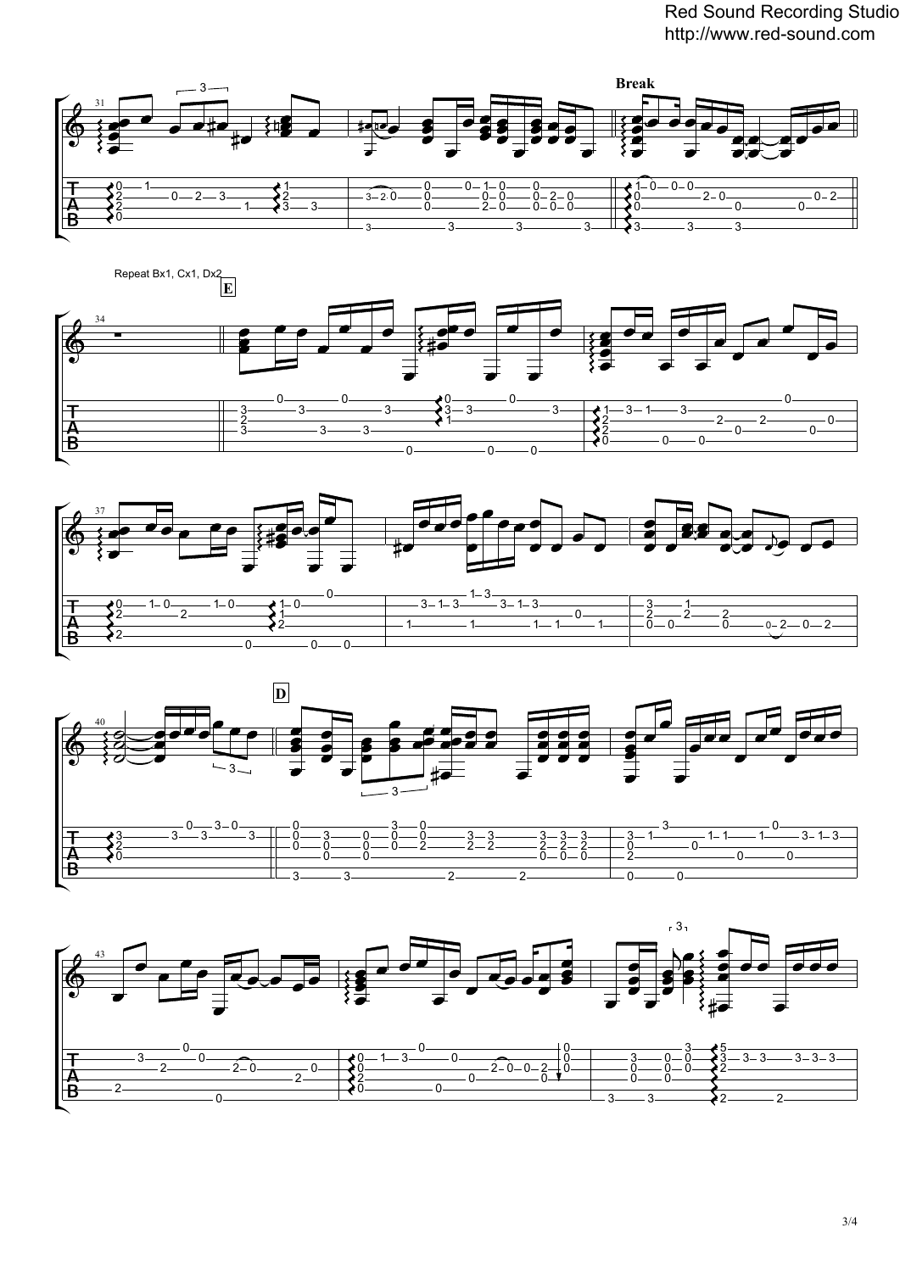Red Sound Recording Studio http://www.red-sound.com